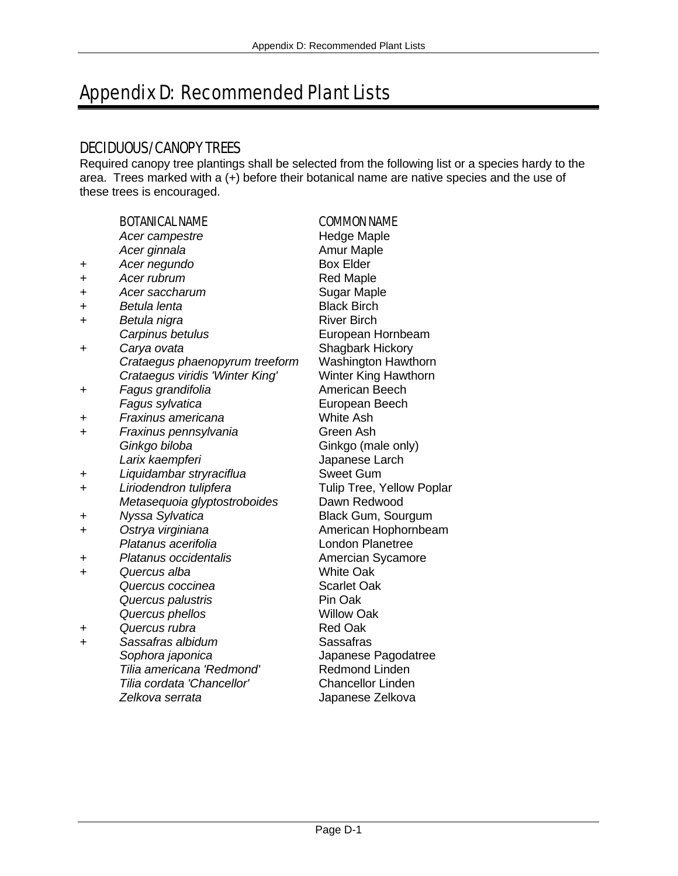# Appendix D: Recommended Plant Lists

# DECIDUOUS/CANOPY TREES

Required canopy tree plantings shall be selected from the following list or a species hardy to the area. Trees marked with a (+) before their botanical name are native species and the use of these trees is encouraged.

|           | <b>BOTANICAL NAME</b>           | <b>COMMON NAME</b>        |
|-----------|---------------------------------|---------------------------|
|           | Acer campestre                  | <b>Hedge Maple</b>        |
|           | Acer ginnala                    | <b>Amur Maple</b>         |
| +         | Acer negundo                    | <b>Box Elder</b>          |
| $\ddot{}$ | Acer rubrum                     | <b>Red Maple</b>          |
| +         | Acer saccharum                  | <b>Sugar Maple</b>        |
| +         | Betula lenta                    | <b>Black Birch</b>        |
| $\ddot{}$ | Betula nigra                    | <b>River Birch</b>        |
|           | Carpinus betulus                | European Hornbeam         |
| +         | Carya ovata                     | Shagbark Hickory          |
|           | Crataegus phaenopyrum treeform  | Washington Hawthorn       |
|           | Crataegus viridis 'Winter King' | Winter King Hawthorn      |
| +         | Fagus grandifolia               | American Beech            |
|           | Fagus sylvatica                 | European Beech            |
| +         | Fraxinus americana              | <b>White Ash</b>          |
| $\ddot{}$ | Fraxinus pennsylvania           | Green Ash                 |
|           | Ginkgo biloba                   | Ginkgo (male only)        |
|           | Larix kaempferi                 | Japanese Larch            |
| +         | Liquidambar stryraciflua        | <b>Sweet Gum</b>          |
| $\ddot{}$ | Liriodendron tulipfera          | Tulip Tree, Yellow Poplar |
|           | Metasequoia glyptostroboides    | Dawn Redwood              |
| +         | Nyssa Sylvatica                 | Black Gum, Sourgum        |
| +         | Ostrya virginiana               | American Hophornbeam      |
|           | Platanus acerifolia             | <b>London Planetree</b>   |
| +         | Platanus occidentalis           | Amercian Sycamore         |
| +         | Quercus alba                    | <b>White Oak</b>          |
|           | Quercus coccinea                | <b>Scarlet Oak</b>        |
|           | Quercus palustris               | Pin Oak                   |
|           | Quercus phellos                 | <b>Willow Oak</b>         |
| +         | Quercus rubra                   | <b>Red Oak</b>            |
| +         | Sassafras albidum               | Sassafras                 |
|           | Sophora japonica                | Japanese Pagodatree       |
|           | Tilia americana 'Redmond'       | Redmond Linden            |
|           | Tilia cordata 'Chancellor'      | <b>Chancellor Linden</b>  |
|           | Zelkova serrata                 | Japanese Zelkova          |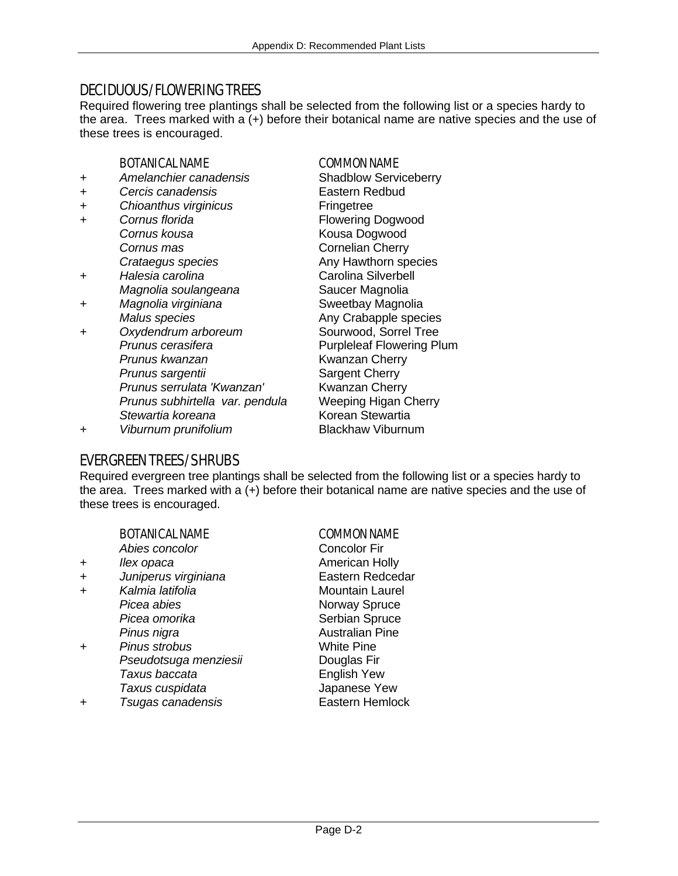# DECIDUOUS/FLOWERING TREES

Required flowering tree plantings shall be selected from the following list or a species hardy to the area. Trees marked with a (+) before their botanical name are native species and the use of these trees is encouraged.

### BOTANICAL NAME COMMON NAME

- *+ Amelanchier canadensis* Shadblow Serviceberry
- *+ Cercis canadensis* Eastern Redbud
- *+ Chioanthus virginicus* Fringetree
- *+ Cornus florida* Flowering Dogwood **Cornus kousa** Kousa Dogwood *Cornus mas* **Cornelian Cherry**
- *+ Halesia carolina* Carolina Silverbell  *Magnolia soulangeana* Saucer Magnolia
- *+ Magnolia virginiana* Sweetbay Magnolia
- *+ Oxydendrum arboreum* Sourwood, Sorrel Tree **Prunus cerasifera** Purpleleaf Flowering Plum  *Prunus kwanzan* Kwanzan Cherry *Prunus sargentii* Sargent Cherry  *Prunus serrulata 'Kwanzan'* Kwanzan Cherry **Prunus subhirtella var. pendula** *Stewartia koreana* Korean Stewartia

*Crataegus species* Any Hawthorn species *Malus species* **Any Crabapple species** *+ Viburnum prunifolium* Blackhaw Viburnum

# EVERGREEN TREES/SHRUBS

Required evergreen tree plantings shall be selected from the following list or a species hardy to the area. Trees marked with a (+) before their botanical name are native species and the use of these trees is encouraged.

### BOTANICAL NAME COMMON NAME

- **Abies concolor** Concolor Fir
- 
- 
- -
- *+ Pinus strobus* White Pine *Pseudotsuga menziesii* **Douglas Fir Taxus baccata** English Yew  *Taxus cuspidata* Japanese Yew
- *+ Tsugas canadensis* Eastern Hemlock

<sup>+</sup> *Ilex opaca* American Holly *+ Juniperus virginiana* Eastern Redcedar <sup>+</sup> Kalmia latifolia Mountain Laurel *Picea abies* Norway Spruce *Picea omorika* Serbian Spruce *Pinus nigra* Australian Pine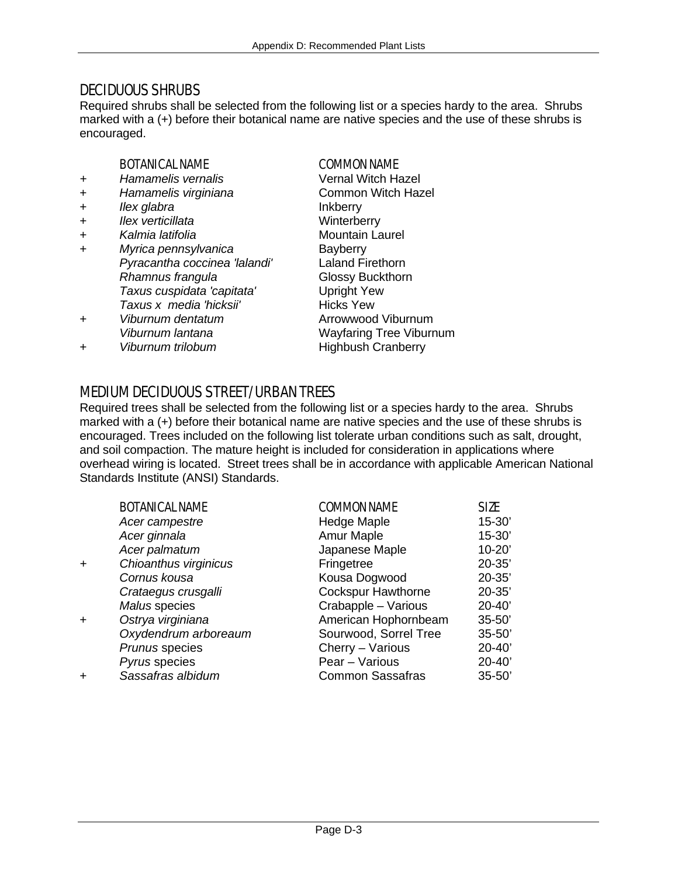# DECIDUOUS SHRUBS

Required shrubs shall be selected from the following list or a species hardy to the area. Shrubs marked with a (+) before their botanical name are native species and the use of these shrubs is encouraged.

### BOTANICAL NAME COMMON NAME

- *+ Hamamelis vernalis* Vernal Witch Hazel
- + *Hamamelis virginiana* Common Witch Hazel
- + *Ilex glabra* Inkberry
- + *Ilex verticillata* Winterberry
- + *Kalmia latifolia* Mountain Laurel
- + *Myrica pennsylvanica* Bayberry  *Pyracantha coccinea 'lalandi'* Laland Firethorn *Rhamnus frangula* Glossy Buckthorn  *Taxus cuspidata 'capitata'* Upright Yew **Taxus x media 'hicksii'** Hicks Yew + *Viburnum dentatum* Arrowwood Viburnum
- 
- + *Viburnum trilobum* Highbush Cranberry

 *Viburnum lantana* Wayfaring Tree Viburnum

# MEDIUM DECIDUOUS STREET/URBAN TREES

Required trees shall be selected from the following list or a species hardy to the area. Shrubs marked with a (+) before their botanical name are native species and the use of these shrubs is encouraged. Trees included on the following list tolerate urban conditions such as salt, drought, and soil compaction. The mature height is included for consideration in applications where overhead wiring is located. Street trees shall be in accordance with applicable American National Standards Institute (ANSI) Standards.

| <b>BOTANICAL NAME</b> | <b>COMMON NAME</b>        | <b>SIZE</b> |
|-----------------------|---------------------------|-------------|
| Acer campestre        | <b>Hedge Maple</b>        | $15 - 30'$  |
| Acer ginnala          | Amur Maple                | $15 - 30'$  |
| Acer palmatum         | Japanese Maple            | $10 - 20'$  |
| Chioanthus virginicus | Fringetree                | $20 - 35'$  |
| Cornus kousa          | Kousa Dogwood             | $20 - 35'$  |
| Crataegus crusgalli   | <b>Cockspur Hawthorne</b> | $20 - 35'$  |
| Malus species         | Crabapple - Various       | $20 - 40'$  |
| Ostrya virginiana     | American Hophornbeam      | $35 - 50'$  |
| Oxydendrum arboreaum  | Sourwood, Sorrel Tree     | $35 - 50'$  |
| Prunus species        | Cherry - Various          | $20 - 40'$  |
| Pyrus species         | Pear - Various            | $20 - 40'$  |
| Sassafras albidum     | <b>Common Sassafras</b>   | $35 - 50'$  |
|                       |                           |             |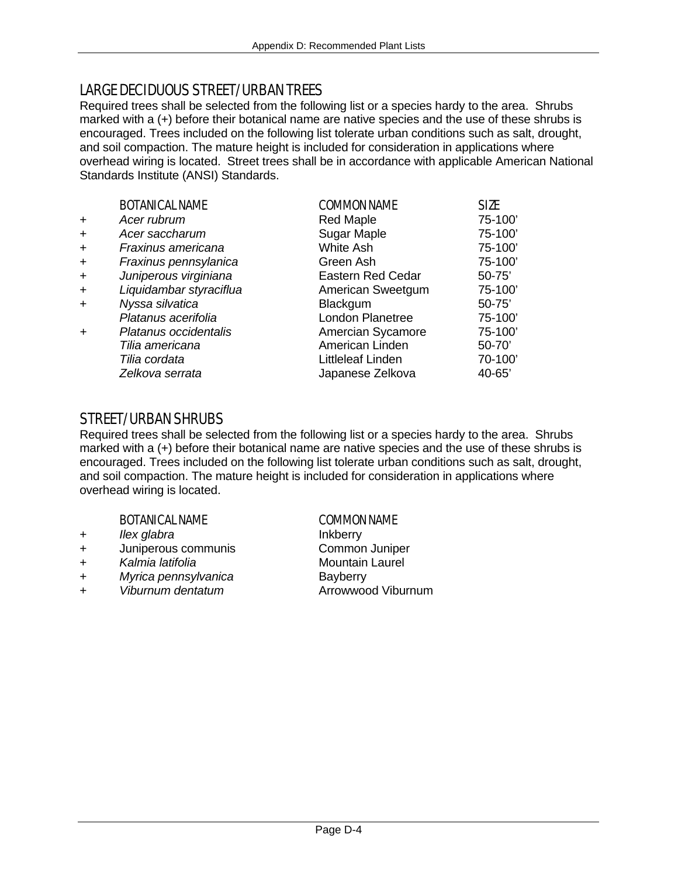# LARGE DECIDUOUS STREET/URBAN TREES

Required trees shall be selected from the following list or a species hardy to the area. Shrubs marked with a (+) before their botanical name are native species and the use of these shrubs is encouraged. Trees included on the following list tolerate urban conditions such as salt, drought, and soil compaction. The mature height is included for consideration in applications where overhead wiring is located. Street trees shall be in accordance with applicable American National Standards Institute (ANSI) Standards.

|           | <b>BOTANICAL NAME</b>   | <b>COMMON NAME</b>       | <b>SIZE</b> |
|-----------|-------------------------|--------------------------|-------------|
| $\ddot{}$ | Acer rubrum             | <b>Red Maple</b>         | 75-100      |
| $\ddot{}$ | Acer saccharum          | Sugar Maple              | 75-100'     |
| $\ddot{}$ | Fraxinus americana      | White Ash                | 75-100'     |
| $\ddot{}$ | Fraxinus pennsylanica   | Green Ash                | 75-100      |
| $+$       | Juniperous virginiana   | <b>Eastern Red Cedar</b> | $50 - 75'$  |
| $+$       | Liquidambar styraciflua | American Sweetgum        | 75-100      |
| $+$       | Nyssa silvatica         | <b>Blackgum</b>          | $50 - 75'$  |
|           | Platanus acerifolia     | London Planetree         | 75-100      |
| $\ddot{}$ | Platanus occidentalis   | Amercian Sycamore        | 75-100'     |
|           | Tilia americana         | American Linden          | $50 - 70'$  |
|           | Tilia cordata           | Littleleaf Linden        | 70-100'     |
|           | Zelkova serrata         | Japanese Zelkova         | $40 - 65'$  |

# STREET/URBAN SHRUBS

Required trees shall be selected from the following list or a species hardy to the area. Shrubs marked with a (+) before their botanical name are native species and the use of these shrubs is encouraged. Trees included on the following list tolerate urban conditions such as salt, drought, and soil compaction. The mature height is included for consideration in applications where overhead wiring is located.

### BOTANICAL NAME COMMON NAME

- 
- + Juniperous communis
- + *Kalmia latifolia* Mountain Laurel
- + *Myrica pennsylvanica* Bayberry
- + *Viburnum dentatum* Arrowwood Viburnum

+ *Ilex glabra* Inkberry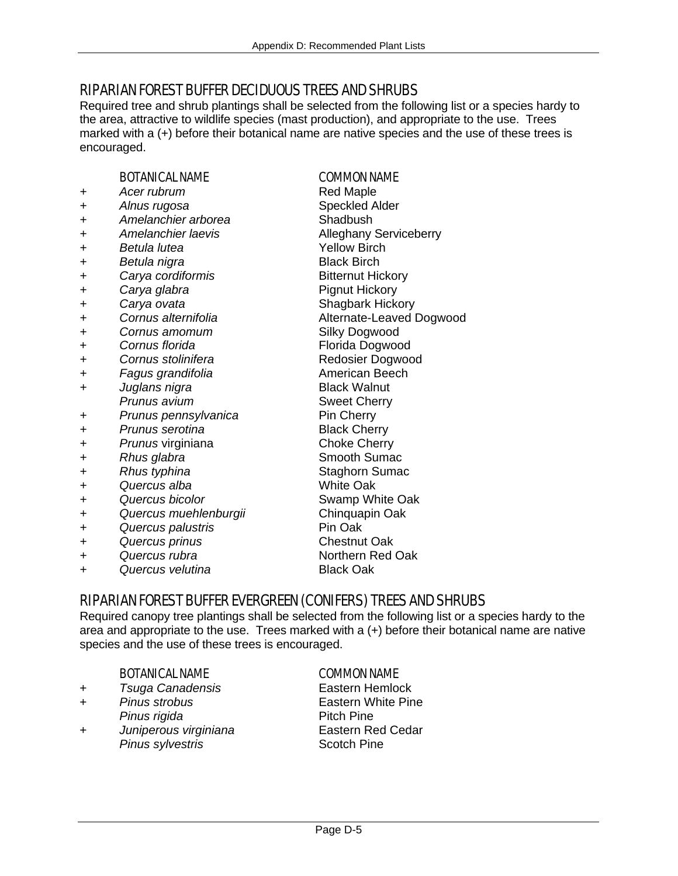# RIPARIAN FOREST BUFFER DECIDUOUS TREES AND SHRUBS

Required tree and shrub plantings shall be selected from the following list or a species hardy to the area, attractive to wildlife species (mast production), and appropriate to the use. Trees marked with a (+) before their botanical name are native species and the use of these trees is encouraged.

### BOTANICAL NAME COMMON NAME

- *+ Acer rubrum* Red Maple
- **+** *Alnus rugosa* Speckled Alder
- *+ Amelanchier arborea* Shadbush
- 
- *+ Betula lutea* Yellow Birch
- *+ Betula nigra* Black Birch
- *+ Carya cordiformis* Bitternut Hickory
- + *Carya glabra* Pignut Hickory
- **+** *Carya ovata* Shagbark Hickory
- *+ Cornus alternifolia* Alternate-Leaved Dogwood
- *+ Cornus amomum* Silky Dogwood
- + *Cornus florida* Florida Dogwood
- 
- **+** *Fagus grandifolia*
- *+ Juglans nigra* Black Walnut **Prunus avium** Sweet Cherry
- *+ Prunus pennsylvanica* Pin Cherry
- *+ Prunus serotina* Black Cherry
- *+ Prunus* virginiana Choke Cherry
- <sup>+</sup> *Rhus glabra* Smooth Sumac
- **+** *Rhus typhina* Staghorn Sumac
- *+ Quercus alba* White Oak
- *+ Quercus bicolor* Swamp White Oak
- *+ Quercus muehlenburgii* Chinquapin Oak
- *+ Quercus palustris* Pin Oak
- *+ Quercus prinus* Chestnut Oak
- 

*+ Quercus velutina* Black Oak

*+ Amelanchier laevis* Alleghany Serviceberry *+ Cornus stolinifera* Redosier Dogwood *+ Quercus rubra* Northern Red Oak

## RIPARIAN FOREST BUFFER EVERGREEN (CONIFERS) TREES AND SHRUBS

Required canopy tree plantings shall be selected from the following list or a species hardy to the area and appropriate to the use. Trees marked with a (+) before their botanical name are native species and the use of these trees is encouraged.

### BOTANICAL NAME COMMON NAME

- + *Tsuga Canadensis* Eastern Hemlock
- + *Pinus strobus* Eastern White Pine
- + *Juniperous virginiana* Eastern Red Cedar **Pinus sylvestris Scotch Pine**

**Pinus rigida** Pitch Pine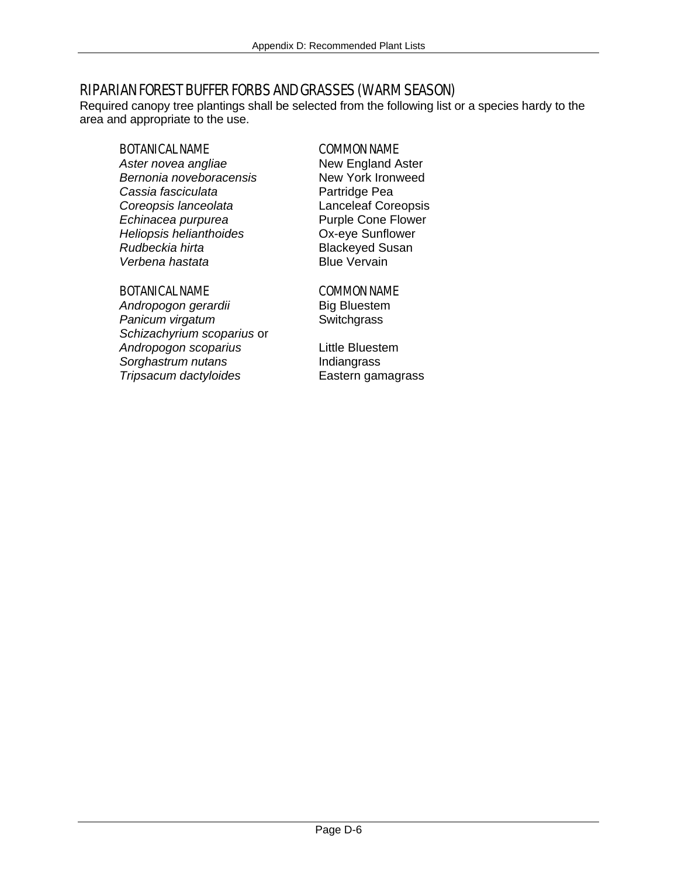# RIPARIAN FOREST BUFFER FORBS AND GRASSES (WARM SEASON)

Required canopy tree plantings shall be selected from the following list or a species hardy to the area and appropriate to the use.

### BOTANICAL NAME COMMON NAME

*Aster novea angliae* **New England Aster**<br> **Bernonia noveboracensis** New York Ironweed **Bernonia noveboracensis Cassia fasciculata** Partridge Pea *Coreopsis lanceolata* Lanceleaf Coreopsis *Echinacea purpurea* Purple Cone Flower *Heliopsis helianthoides* Ox-eye Sunflower **Rudbeckia hirta** Blackeyed Susan Blue Vervain **Verbena hastata** 

### BOTANICAL NAME COMMON NAME

**Andropogon gerardii** Big Bluestem **Panicum virgatum** Switchgrass *Schizachyrium scoparius* or *Andropogon scoparius* Little Bluestem *Sorghastrum nutans* Indiangrass *Tripsacum dactyloides* Eastern gamagrass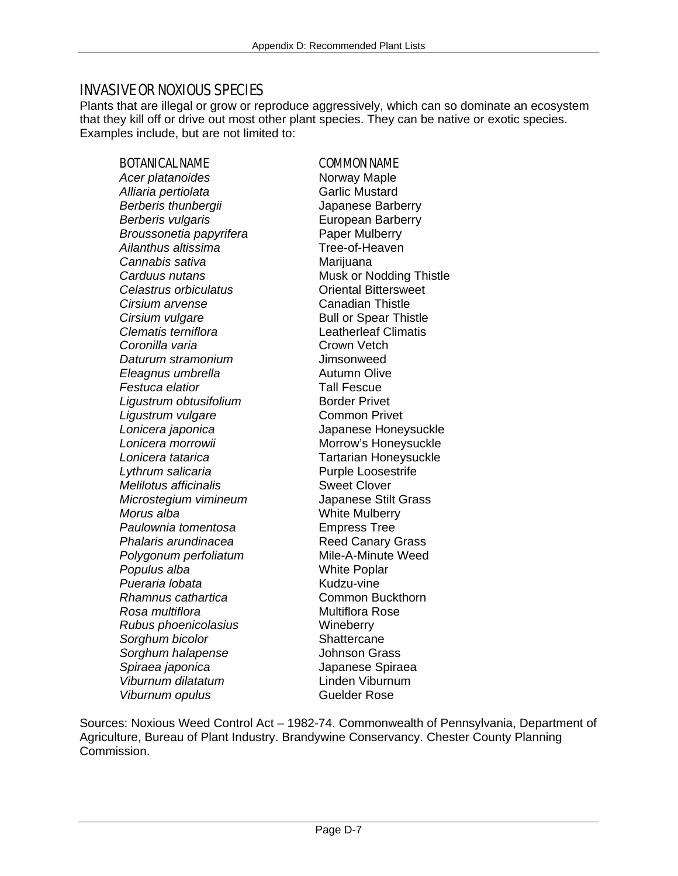# INVASIVE OR NOXIOUS SPECIES

Plants that are illegal or grow or reproduce aggressively, which can so dominate an ecosystem that they kill off or drive out most other plant species. They can be native or exotic species. Examples include, but are not limited to:

### BOTANICAL NAME COMMON NAME

Acer platanoides **Norway** Maple Alliaria pertiolata **Garlic Mustard** *Berberis thunbergii* Japanese Barberry **Berberis vulgaris European Barberry** *Broussonetia papyrifera* Paper Mulberry *Ailanthus altissima* Tree-of-Heaven *Cannabis sativa* Marijuana **Carduus nutans** Musk or Nodding Thistle *Celastrus orbiculatus* Oriental Bittersweet **Cirsium arvense** Canadian Thistle **Cirsium vulgare Bull or Spear Thistle** *Clematis terniflora* Leatherleaf Climatis **Coronilla varia** Crown Vetch *Daturum stramonium* Jimsonweed *Eleagnus umbrella* Autumn Olive **Festuca elatior** Tall Fescue **Ligustrum obtusifolium** Border Privet *Ligustrum vulgare* Common Privet *Lonicera japonica* Japanese Honeysuckle Lonicera morrowii **Morrow's Honeysuckle** *Lonicera tatarica* Tartarian Honeysuckle Lythrum salicaria **Purple Loosestrife** *Melilotus afficinalis* **Sweet Clover** *Microstegium vimineum* Japanese Stilt Grass *Morus alba* White Mulberry *Paulownia tomentosa* Empress Tree **Phalaris arundinacea Reed Canary Grass Polygonum perfoliatum** Mile-A-Minute Weed *Populus alba* White Poplar **Pueraria lobata** Kudzu-vine *Rhamnus cathartica* Common Buckthorn *Rosa multiflora* Multiflora Rose *Rubus phoenicolasius* Wineberry **Sorghum bicolor** Shattercane *Sorghum halapense* Johnson Grass *Spiraea japonica* Japanese Spiraea *Viburnum dilatatum* Linden Viburnum *Viburnum opulus* Guelder Rose

Sources: Noxious Weed Control Act – 1982-74. Commonwealth of Pennsylvania, Department of Agriculture, Bureau of Plant Industry. Brandywine Conservancy. Chester County Planning Commission.